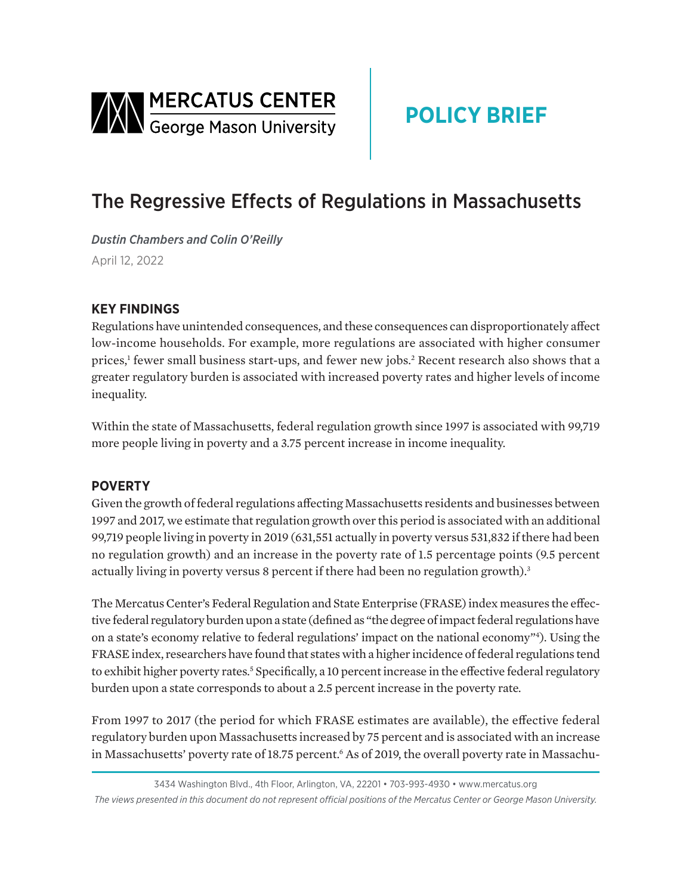<span id="page-0-0"></span>

# **POLICY BRIEF**

## The Regressive Effects of Regulations in Massachusetts

*Dustin Chambers and Colin O'Reilly*  April 12, 2022

### **KEY FINDINGS**

Regulations have unintended consequences, and these consequences can disproportionately affect low-income households. For example, more regulations are associated with higher consumer prices,<sup>[1](#page-2-0)</sup> fewer small business start-ups, and fewer new jobs.<sup>[2](#page-2-0)</sup> Recent research also shows that a greater regulatory burden is associated with increased poverty rates and higher levels of income inequality.

Within the state of Massachusetts, federal regulation growth since 1997 is associated with 99,719 more people living in poverty and a 3.75 percent increase in income inequality.

#### **POVERTY**

Given the growth of federal regulations affecting Massachusetts residents and businesses between 1997 and 2017, we estimate that regulation growth over this period is associated with an additional 99,719 people living in poverty in 2019 (631,551 actually in poverty versus 531,832 if there had been no regulation growth) and an increase in the poverty rate of 1.5 percentage points (9.5 percent actually living in poverty versus 8 percent if there had been no regulation growth).<sup>3</sup>

The Mercatus Center's Federal Regulation and State Enterprise (FRASE) index measures the effective federal regulatory burden upon a state (defined as "the degree of impact federal regulations have on a state's economy relative to federal regulations' impact on the national economy["4](#page-2-0) ). Using the FRASE index, researchers have found that states with a higher incidence of federal regulations tend to exhibit higher poverty rates.<sup>5</sup> Specifically, a 10 percent increase in the effective federal regulatory burden upon a state corresponds to about a 2.5 percent increase in the poverty rate.

From 1997 to 2017 (the period for which FRASE estimates are available), the effective federal regulatory burden upon Massachusetts increased by 75 percent and is associated with an increase in Massachusetts' poverty rate of 18.75 percent.<sup>6</sup> As of 2019, the overall poverty rate in Massachu-

<sup>3434</sup> Washington Blvd., 4th Floor, Arlington, VA, 22201 • 703-993-4930 • www.mercatus.org *The views presented in this document do not represent official positions of the Mercatus Center or George Mason University.*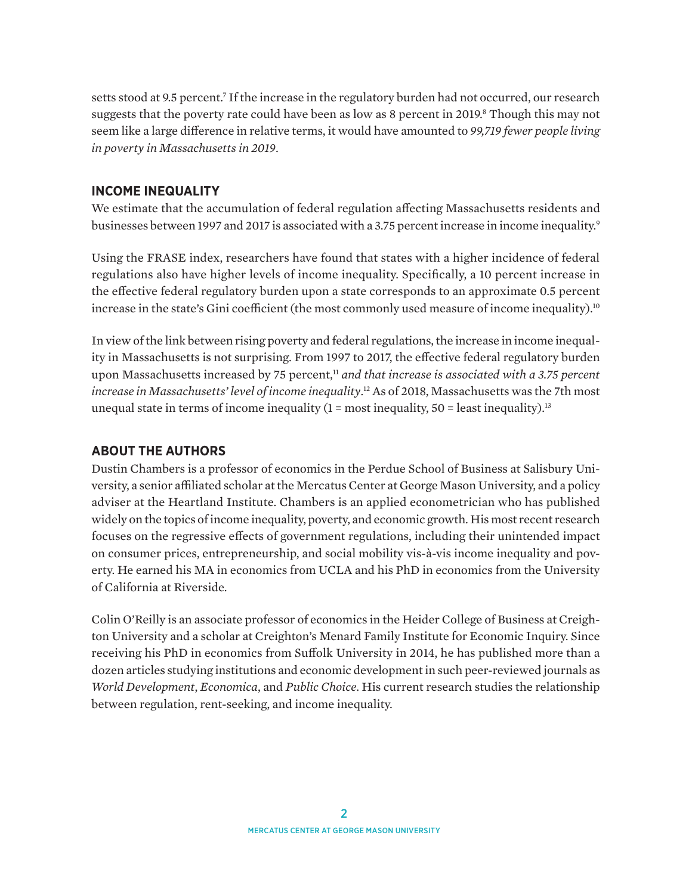<span id="page-1-0"></span>setts stood at 9.5 percent.<sup>7</sup> If the increase in the regulatory burden had not occurred, our research suggests that the poverty rate could have been as low as 8 percent in 2019.<sup>8</sup> Though this may not seem like a large difference in relative terms, it would have amounted to *99,719 fewer people living in poverty in Massachusetts in 2019*.

#### **INCOME INEQUALITY**

We estimate that the accumulation of federal regulation affecting Massachusetts residents and businesses between 1[9](#page-2-0)97 and 2017 is associated with a 3.75 percent increase in income inequality.<sup>9</sup>

Using the FRASE index, researchers have found that states with a higher incidence of federal regulations also have higher levels of income inequality. Specifically, a 10 percent increase in the effective federal regulatory burden upon a state corresponds to an approximate 0.5 percent increase in the state's Gini coefficient (the most commonly used measure of income inequality).<sup>[10](#page-2-0)</sup>

In view of the link between rising poverty and federal regulations, the increase in income inequality in Massachusetts is not surprising. From 1997 to 2017, the effective federal regulatory burden upon Massachusetts increased by 75 percent,<sup>[11](#page-2-0)</sup> *and that increase is associated with a 3.75 percent increase in Massachusetts' level of income inequality*. [12](#page-2-0) As of 2018, Massachusetts was the 7th most unequal state in terms of income inequality  $(1 = \text{most inequality}, 50 = \text{least inequality})$ .<sup>13</sup>

#### **ABOUT THE AUTHORS**

Dustin Chambers is a professor of economics in the Perdue School of Business at Salisbury University, a senior affiliated scholar at the Mercatus Center at George Mason University, and a policy adviser at the Heartland Institute. Chambers is an applied econometrician who has published widely on the topics of income inequality, poverty, and economic growth. His most recent research focuses on the regressive effects of government regulations, including their unintended impact on consumer prices, entrepreneurship, and social mobility vis-à-vis income inequality and poverty. He earned his MA in economics from UCLA and his PhD in economics from the University of California at Riverside.

Colin O'Reilly is an associate professor of economics in the Heider College of Business at Creighton University and a scholar at Creighton's Menard Family Institute for Economic Inquiry. Since receiving his PhD in economics from Suffolk University in 2014, he has published more than a dozen articles studying institutions and economic development in such peer-reviewed journals as *World Development*, *Economica*, and *Public Choice*. His current research studies the relationship between regulation, rent-seeking, and income inequality.